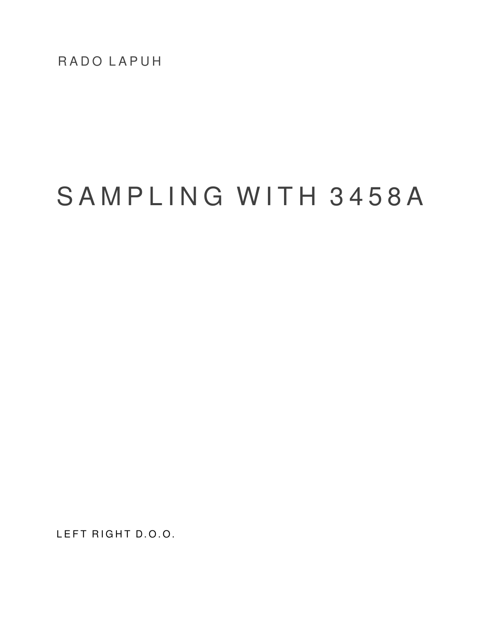RADO LAPUH

# SAMPLING WITH 3458A

LEFT RIGHT D.O.O.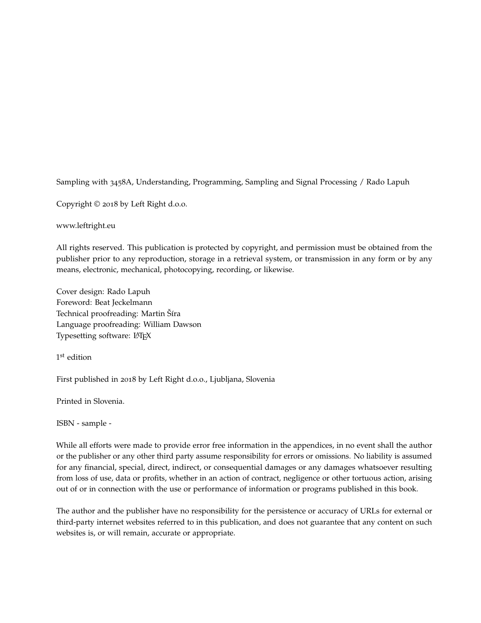Sampling with 3458A, Understanding, Programming, Sampling and Signal Processing / Rado Lapuh

Copyright © 2018 by Left Right d.o.o.

www.leftright.eu

All rights reserved. This publication is protected by copyright, and permission must be obtained from the publisher prior to any reproduction, storage in a retrieval system, or transmission in any form or by any means, electronic, mechanical, photocopying, recording, or likewise.

Cover design: Rado Lapuh Foreword: Beat Jeckelmann Technical proofreading: Martin Šíra Language proofreading: William Dawson Typesetting software: LATEX

1 st edition

First published in 2018 by Left Right d.o.o., Ljubljana, Slovenia

Printed in Slovenia.

ISBN - sample -

While all efforts were made to provide error free information in the appendices, in no event shall the author or the publisher or any other third party assume responsibility for errors or omissions. No liability is assumed for any financial, special, direct, indirect, or consequential damages or any damages whatsoever resulting from loss of use, data or profits, whether in an action of contract, negligence or other tortuous action, arising out of or in connection with the use or performance of information or programs published in this book.

The author and the publisher have no responsibility for the persistence or accuracy of URLs for external or third-party internet websites referred to in this publication, and does not guarantee that any content on such websites is, or will remain, accurate or appropriate.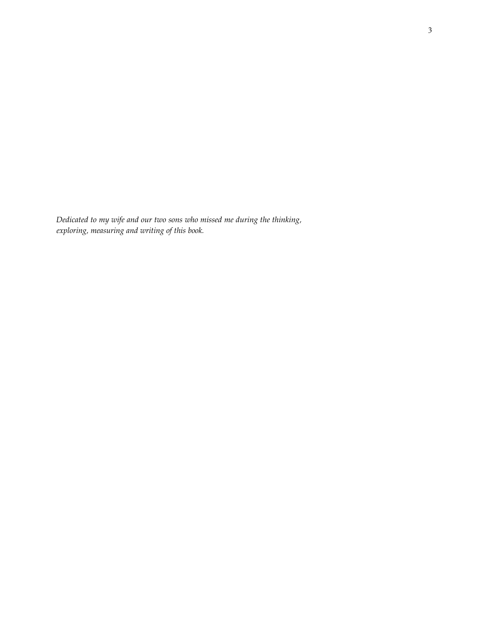*Dedicated to my wife and our two sons who missed me during the thinking, exploring, measuring and writing of this book.*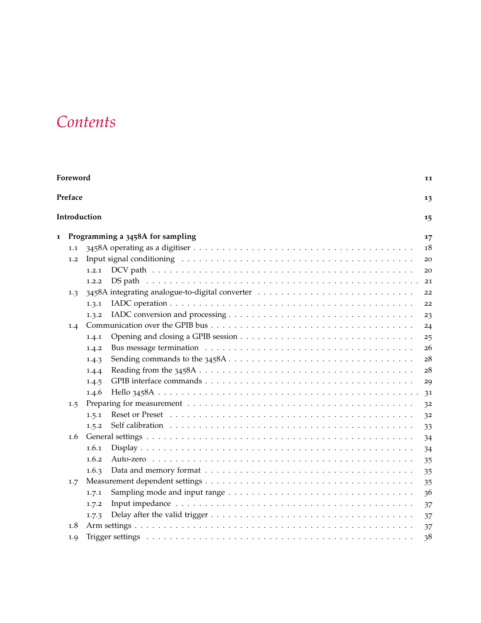## *Contents*

| Foreword |         |                                  |        |
|----------|---------|----------------------------------|--------|
|          | Preface |                                  | 13     |
|          |         | Introduction                     | 15     |
| 1        |         | Programming a 3458A for sampling | 17     |
|          | 1.1     |                                  | 18     |
|          | 1.2     |                                  | 20     |
|          |         | 1.2.1                            | 20     |
|          |         | 1.2.2                            | 21     |
|          | 1.3     |                                  | 22     |
|          |         | 1.3.1                            | 22     |
|          |         | 1.3.2                            | 23     |
|          | 1.4     |                                  | 24     |
|          |         | 1.4.1                            | 25     |
|          |         | 1.4.2                            | 26     |
|          |         | 1.4.3                            | $28\,$ |
|          |         | 1.4.4                            | 28     |
|          |         | 1.4.5                            | 29     |
|          |         | 1.4.6                            | 31     |
|          | 1.5     |                                  | 32     |
|          |         | 1.5.1                            | 32     |
|          |         | 1.5.2                            | 33     |
|          | 1.6     |                                  | 34     |
|          |         | 1.6.1                            | 34     |
|          |         | 1.6.2                            | 35     |
|          |         | 1.6.3                            | 35     |
|          | 1.7     |                                  | 35     |
|          |         | 1.7.1                            | 36     |
|          |         | 1.7.2                            | 37     |
|          |         | 1.7.3                            | 37     |
|          | 1.8     |                                  | 37     |
|          | 1.9     |                                  | 38     |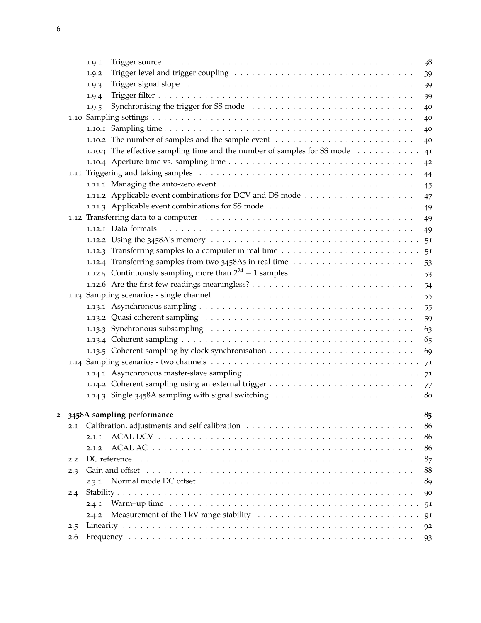|   |     | 1.9.1                                                                                                                                                                                                                          | 38             |
|---|-----|--------------------------------------------------------------------------------------------------------------------------------------------------------------------------------------------------------------------------------|----------------|
|   |     | 1.9.2                                                                                                                                                                                                                          | 39             |
|   |     | Trigger signal slope (and all contained all contained all contained all contained all contained all contained a<br>1.9.3                                                                                                       | 39             |
|   |     | 1.9.4                                                                                                                                                                                                                          | 39             |
|   |     | 1.9.5                                                                                                                                                                                                                          | 40             |
|   |     |                                                                                                                                                                                                                                | 40             |
|   |     |                                                                                                                                                                                                                                | 40             |
|   |     |                                                                                                                                                                                                                                | 40             |
|   |     | 1.10.3 The effective sampling time and the number of samples for SS mode                                                                                                                                                       | 41             |
|   |     |                                                                                                                                                                                                                                | 4 <sup>2</sup> |
|   |     |                                                                                                                                                                                                                                | 44             |
|   |     |                                                                                                                                                                                                                                | 45             |
|   |     |                                                                                                                                                                                                                                | 47             |
|   |     | 1.11.3 Applicable event combinations for SS mode                                                                                                                                                                               | 49             |
|   |     | 1.12 Transferring data to a computer enterpretation of the contract of the contract of the contract of the contract of the contract of the contract of the contract of the contract of the contract of the contract of the con | 49             |
|   |     |                                                                                                                                                                                                                                | 49             |
|   |     |                                                                                                                                                                                                                                |                |
|   |     |                                                                                                                                                                                                                                | 51             |
|   |     |                                                                                                                                                                                                                                | 53             |
|   |     |                                                                                                                                                                                                                                | 53             |
|   |     |                                                                                                                                                                                                                                | 54             |
|   |     |                                                                                                                                                                                                                                | 55             |
|   |     |                                                                                                                                                                                                                                | 55             |
|   |     |                                                                                                                                                                                                                                | 59             |
|   |     |                                                                                                                                                                                                                                | 63             |
|   |     |                                                                                                                                                                                                                                | 65             |
|   |     |                                                                                                                                                                                                                                | 69             |
|   |     |                                                                                                                                                                                                                                | 71             |
|   |     |                                                                                                                                                                                                                                | 71             |
|   |     |                                                                                                                                                                                                                                |                |
|   |     |                                                                                                                                                                                                                                | 77<br>80       |
|   |     |                                                                                                                                                                                                                                |                |
| 2 |     | 3458A sampling performance                                                                                                                                                                                                     | 85             |
|   | 2.1 |                                                                                                                                                                                                                                | 86             |
|   |     | 2.1.1                                                                                                                                                                                                                          | 86             |
|   |     | 2.1.2                                                                                                                                                                                                                          | 86             |
|   | 2.2 |                                                                                                                                                                                                                                | 87             |
|   | 2.3 |                                                                                                                                                                                                                                | 88             |
|   |     | 2.3.1                                                                                                                                                                                                                          | 89             |
|   | 2.4 |                                                                                                                                                                                                                                | 90             |
|   |     | 2.4.1                                                                                                                                                                                                                          | 91             |
|   |     | 2.4.2                                                                                                                                                                                                                          | 91             |
|   | 2.5 |                                                                                                                                                                                                                                | 92             |
|   | 2.6 |                                                                                                                                                                                                                                | -93            |
|   |     |                                                                                                                                                                                                                                |                |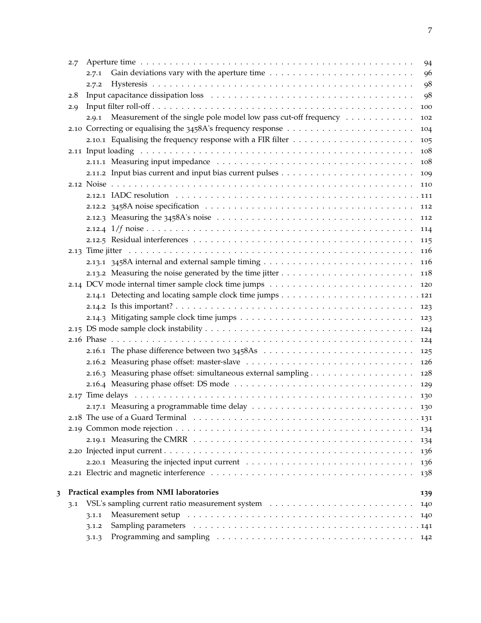|   | 2.7 | 94                                                                              |
|---|-----|---------------------------------------------------------------------------------|
|   |     | 96<br>2.7.1                                                                     |
|   |     | 98<br>2.7.2                                                                     |
|   | 2.8 | 98                                                                              |
|   | 2.9 | 100                                                                             |
|   |     | Measurement of the single pole model low pass cut-off frequency<br>2.9.1<br>102 |
|   |     | 104                                                                             |
|   |     | 105                                                                             |
|   |     | 108                                                                             |
|   |     | 108                                                                             |
|   |     | 109                                                                             |
|   |     | 110                                                                             |
|   |     |                                                                                 |
|   |     | 112                                                                             |
|   |     | 112                                                                             |
|   |     | 114                                                                             |
|   |     | 115                                                                             |
|   |     | 116                                                                             |
|   |     | 116                                                                             |
|   |     | 118                                                                             |
|   |     | 120                                                                             |
|   |     |                                                                                 |
|   |     | 123                                                                             |
|   |     | 123                                                                             |
|   |     | 124                                                                             |
|   |     | 124                                                                             |
|   |     | 125                                                                             |
|   |     | 126                                                                             |
|   |     | 128                                                                             |
|   |     | 129                                                                             |
|   |     | 130                                                                             |
|   |     |                                                                                 |
|   |     |                                                                                 |
|   |     | 134                                                                             |
|   |     | 134                                                                             |
|   |     | 136                                                                             |
|   |     | 136                                                                             |
|   |     | 138                                                                             |
| 3 |     | Practical examples from NMI laboratories<br>139                                 |
|   | 3.1 | 140                                                                             |
|   |     | 3.1.1<br>140                                                                    |
|   |     | 3.1.2                                                                           |
|   |     | 3.1.3<br>142                                                                    |
|   |     |                                                                                 |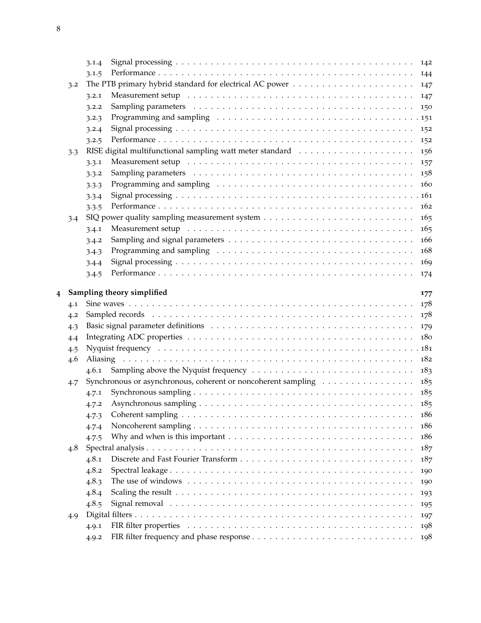|   |     | 3.1.4                                                                                                                                                                                                                                   |     |
|---|-----|-----------------------------------------------------------------------------------------------------------------------------------------------------------------------------------------------------------------------------------------|-----|
|   |     | 3.1.5                                                                                                                                                                                                                                   |     |
|   | 3.2 |                                                                                                                                                                                                                                         | 147 |
|   |     | Measurement setup <i>and a contract of the contract of the contract of the contract of the contract of the contract</i><br>3.2.1                                                                                                        | 147 |
|   |     | 3.2.2                                                                                                                                                                                                                                   | 150 |
|   |     | Programming and sampling resources in the contract of the contract of the programming and sampling resources in the contract of the contract of the contract of the contract of the contract of the contract of the contract o<br>3.2.3 |     |
|   |     | 3.2.4                                                                                                                                                                                                                                   | 152 |
|   |     | 3.2.5                                                                                                                                                                                                                                   | 152 |
|   | 3.3 |                                                                                                                                                                                                                                         | 156 |
|   |     | Measurement setup <i>and a contract of the contract of the contract of the contract of the contract of the contract</i><br>3.3.1                                                                                                        | 157 |
|   |     | 3.3.2                                                                                                                                                                                                                                   | 158 |
|   |     | 3.3.3                                                                                                                                                                                                                                   | 160 |
|   |     | 3.3.4                                                                                                                                                                                                                                   |     |
|   |     | 3.3.5                                                                                                                                                                                                                                   | 162 |
|   | 3.4 |                                                                                                                                                                                                                                         | 165 |
|   |     | 3.4.1                                                                                                                                                                                                                                   | 165 |
|   |     | 3.4.2                                                                                                                                                                                                                                   | 166 |
|   |     | Programming and sampling (and solution of the state of the state of the state of the state of the state of the state of the state of the state of the state of the state of the state of the state of the state of the state o<br>3.4.3 | 168 |
|   |     | 3.4.4                                                                                                                                                                                                                                   | 169 |
|   |     | 3.4.5                                                                                                                                                                                                                                   | 174 |
| 4 |     | Sampling theory simplified                                                                                                                                                                                                              | 177 |
|   | 4.1 |                                                                                                                                                                                                                                         | 178 |
|   | 4.2 |                                                                                                                                                                                                                                         | 178 |
|   | 4.3 |                                                                                                                                                                                                                                         | 179 |
|   | 4.4 |                                                                                                                                                                                                                                         | 180 |
|   | 4.5 |                                                                                                                                                                                                                                         |     |
|   | 4.6 |                                                                                                                                                                                                                                         | 182 |
|   |     | 4.6.1                                                                                                                                                                                                                                   | 183 |
|   | 4.7 | Synchronous or asynchronous, coherent or noncoherent sampling                                                                                                                                                                           | 185 |
|   |     | 4.7.1                                                                                                                                                                                                                                   | 185 |
|   |     | 4.7.2                                                                                                                                                                                                                                   |     |
|   |     | 4.7.3                                                                                                                                                                                                                                   | 186 |
|   |     | 4.7.4                                                                                                                                                                                                                                   | 186 |
|   |     | 4.7.5                                                                                                                                                                                                                                   | 186 |
|   | 4.8 |                                                                                                                                                                                                                                         | 187 |
|   |     | 4.8.1                                                                                                                                                                                                                                   | 187 |
|   |     | 4.8.2                                                                                                                                                                                                                                   | 190 |
|   |     | 4.8.3                                                                                                                                                                                                                                   | 190 |
|   |     | 4.8.4                                                                                                                                                                                                                                   | 193 |
|   |     | 4.8.5                                                                                                                                                                                                                                   |     |
|   |     |                                                                                                                                                                                                                                         | 195 |
|   | 4.9 |                                                                                                                                                                                                                                         | 197 |
|   |     | 4.9.1                                                                                                                                                                                                                                   | 198 |
|   |     | 4.9.2                                                                                                                                                                                                                                   | 198 |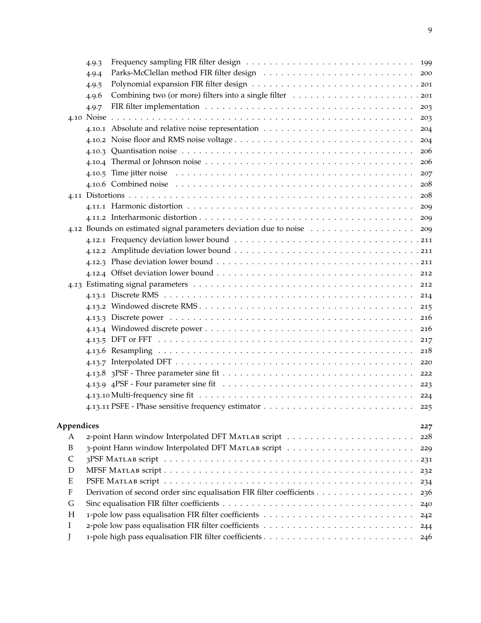|            | 4.9.3                                                                |     |
|------------|----------------------------------------------------------------------|-----|
|            | 4.9.4                                                                |     |
|            | 4.9.5                                                                |     |
|            | 4.9.6                                                                |     |
|            | 4.9.7                                                                | 203 |
|            |                                                                      | 203 |
|            |                                                                      | 204 |
|            |                                                                      | 204 |
|            |                                                                      | 206 |
|            |                                                                      | 206 |
|            |                                                                      | 207 |
|            |                                                                      | 208 |
|            |                                                                      | 208 |
|            |                                                                      | 209 |
|            |                                                                      | 209 |
|            |                                                                      | 209 |
|            |                                                                      |     |
|            |                                                                      |     |
|            |                                                                      |     |
|            |                                                                      |     |
|            |                                                                      |     |
|            |                                                                      | 214 |
|            |                                                                      | 215 |
|            |                                                                      | 216 |
|            |                                                                      | 216 |
|            |                                                                      | 217 |
|            |                                                                      | 218 |
|            |                                                                      | 220 |
|            |                                                                      | 222 |
|            |                                                                      | 223 |
|            |                                                                      |     |
|            |                                                                      | 225 |
|            |                                                                      |     |
| Appendices |                                                                      | 227 |
| A<br>B     |                                                                      | 228 |
| C          |                                                                      | 229 |
| D          |                                                                      |     |
| Ε          |                                                                      | 232 |
| F          | Derivation of second order sinc equalisation FIR filter coefficients | 234 |
| G          |                                                                      | 236 |
| Η          |                                                                      | 240 |
| Ι          |                                                                      | 242 |
|            |                                                                      | 244 |
| J          |                                                                      | 246 |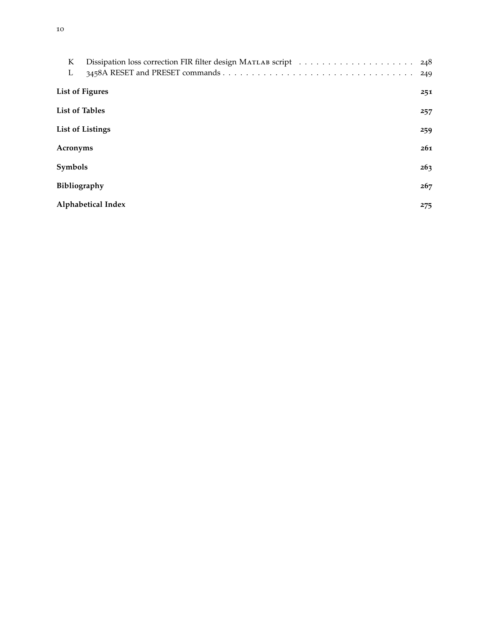| K<br>L                       |     |
|------------------------------|-----|
| <b>List of Figures</b>       | 251 |
| <b>List of Tables</b><br>257 |     |
| <b>List of Listings</b>      |     |
| Acronyms                     |     |
| Symbols                      |     |
| <b>Bibliography</b>          | 267 |
| Alphabetical Index           | 275 |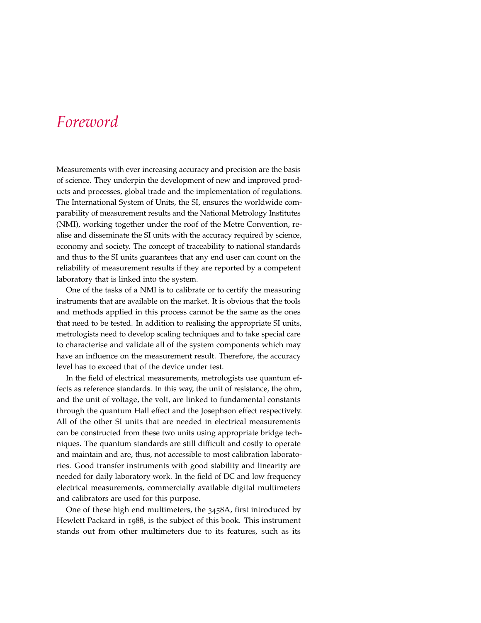#### *Foreword*

Measurements with ever increasing accuracy and precision are the basis of science. They underpin the development of new and improved products and processes, global trade and the implementation of regulations. The International System of Units, the SI, ensures the worldwide comparability of measurement results and the National Metrology Institutes (NMI), working together under the roof of the Metre Convention, realise and disseminate the SI units with the accuracy required by science, economy and society. The concept of traceability to national standards and thus to the SI units guarantees that any end user can count on the reliability of measurement results if they are reported by a competent laboratory that is linked into the system.

One of the tasks of a NMI is to calibrate or to certify the measuring instruments that are available on the market. It is obvious that the tools and methods applied in this process cannot be the same as the ones that need to be tested. In addition to realising the appropriate SI units, metrologists need to develop scaling techniques and to take special care to characterise and validate all of the system components which may have an influence on the measurement result. Therefore, the accuracy level has to exceed that of the device under test.

In the field of electrical measurements, metrologists use quantum effects as reference standards. In this way, the unit of resistance, the ohm, and the unit of voltage, the volt, are linked to fundamental constants through the quantum Hall effect and the Josephson effect respectively. All of the other SI units that are needed in electrical measurements can be constructed from these two units using appropriate bridge techniques. The quantum standards are still difficult and costly to operate and maintain and are, thus, not accessible to most calibration laboratories. Good transfer instruments with good stability and linearity are needed for daily laboratory work. In the field of DC and low frequency electrical measurements, commercially available digital multimeters and calibrators are used for this purpose.

One of these high end multimeters, the 3458A, first introduced by Hewlett Packard in 1988, is the subject of this book. This instrument stands out from other multimeters due to its features, such as its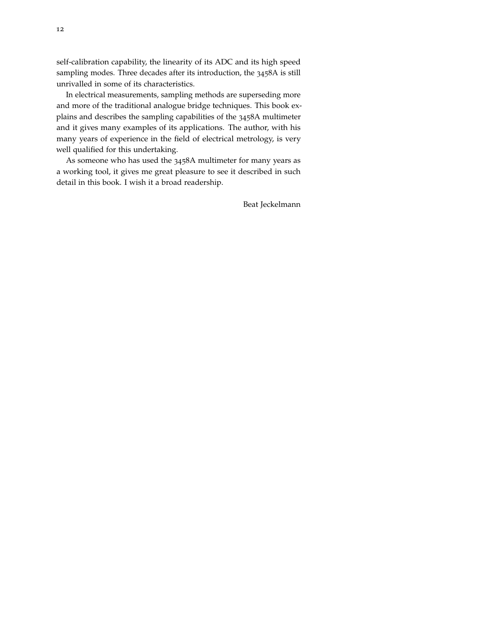self-calibration capability, the linearity of its ADC and its high speed sampling modes. Three decades after its introduction, the 3458A is still unrivalled in some of its characteristics.

In electrical measurements, sampling methods are superseding more and more of the traditional analogue bridge techniques. This book explains and describes the sampling capabilities of the 3458A multimeter and it gives many examples of its applications. The author, with his many years of experience in the field of electrical metrology, is very well qualified for this undertaking.

As someone who has used the 3458A multimeter for many years as a working tool, it gives me great pleasure to see it described in such detail in this book. I wish it a broad readership.

Beat Jeckelmann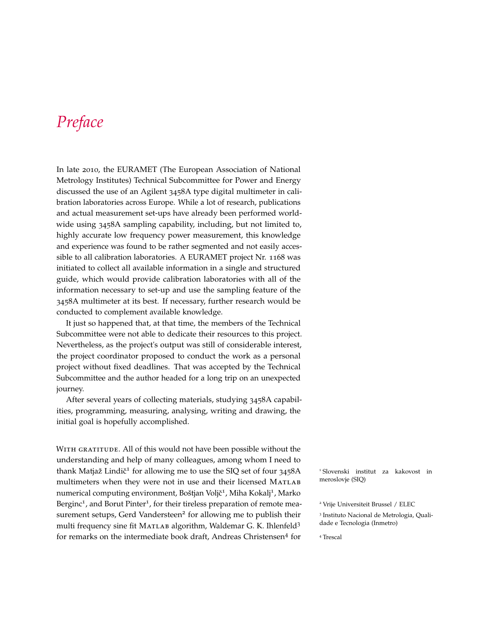### *Preface*

In late 2010, the EURAMET (The European Association of National Metrology Institutes) Technical Subcommittee for Power and Energy discussed the use of an Agilent 3458A type digital multimeter in calibration laboratories across Europe. While a lot of research, publications and actual measurement set-ups have already been performed worldwide using 3458A sampling capability, including, but not limited to, highly accurate low frequency power measurement, this knowledge and experience was found to be rather segmented and not easily accessible to all calibration laboratories. A EURAMET project Nr. 1168 was initiated to collect all available information in a single and structured guide, which would provide calibration laboratories with all of the information necessary to set-up and use the sampling feature of the 3458A multimeter at its best. If necessary, further research would be conducted to complement available knowledge.

It just so happened that, at that time, the members of the Technical Subcommittee were not able to dedicate their resources to this project. Nevertheless, as the project's output was still of considerable interest, the project coordinator proposed to conduct the work as a personal project without fixed deadlines. That was accepted by the Technical Subcommittee and the author headed for a long trip on an unexpected journey.

After several years of collecting materials, studying 3458A capabilities, programming, measuring, analysing, writing and drawing, the initial goal is hopefully accomplished.

WITH GRATITUDE. All of this would not have been possible without the understanding and help of many colleagues, among whom I need to thank Matjaž Lindič<sup>1</sup> for allowing me to use the SIQ set of four 3458A <sup>1</sup> Slovenski institut za kakovost in multimeters when they were not in use and their licensed MATLAB meroslovje (SIQ) numerical computing environment, Boštjan Voljč<sup>1</sup>, Miha Kokalj<sup>1</sup>, Marko Berginc<sup>1</sup>, and Borut Pinter<sup>1</sup>, for their tireless preparation of remote measurement setups, Gerd Vandersteen<sup>2</sup> for allowing me to publish their multi frequency sine fit MATLAB algorithm, Waldemar G. K. Ihlenfeld<sup>3</sup> for remarks on the intermediate book draft, Andreas Christensen<sup>4</sup> for

<sup>2</sup> Vrije Universiteit Brussel / ELEC 3 Instituto Nacional de Metrologia, Qualidade e Tecnologia (Inmetro)

<sup>4</sup> Trescal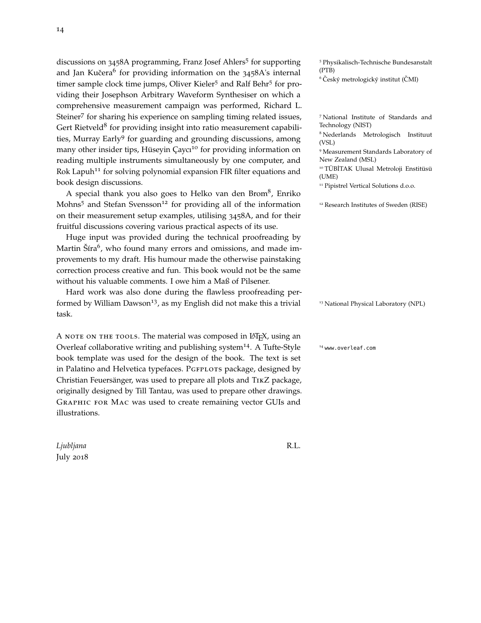discussions on 3458A programming, Franz Josef Ahlers<sup>5</sup> for supporting and Jan Kučera<sup>6</sup> for providing information on the 3458A's internal (PTB) timer sample clock time jumps, Oliver Kieler<sup>5</sup> and Ralf Behr<sup>5</sup> for providing their Josephson Arbitrary Waveform Synthesiser on which a comprehensive measurement campaign was performed, Richard L. Steiner<sup>7</sup> for sharing his experience on sampling timing related issues, <sup>7</sup>National Institute of Standards and Gert Rietveld<sup>8</sup> for providing insight into ratio measurement capabili-<br> ties, Murray Early<sup>9</sup> for guarding and grounding discussions, among  $^{8}$  Ned (VSL) many other insider tips, Hüseyin Çaycı<sup>10</sup> for providing information on reading multiple instruments simultaneously by one computer, and Rok Lapuh<sup>11</sup> for solving polynomial expansion FIR filter equations and book design discussions. The state of the state of the state of the state of the state of the state of the state of the state of the state of the state of the state of the state of the state of the state of the state of th

A special thank you also goes to Helko van den Brom<sup>8</sup>, Enriko Mohns<sup>5</sup> and Stefan Svensson<sup>12</sup> for providing all of the information <sup>12</sup> Research Institutes of Sweden (RISE) on their measurement setup examples, utilising 3458A, and for their fruitful discussions covering various practical aspects of its use.

Huge input was provided during the technical proofreading by Martin Šíra<sup>6</sup>, who found many errors and omissions, and made improvements to my draft. His humour made the otherwise painstaking correction process creative and fun. This book would not be the same without his valuable comments. I owe him a Maß of Pilsener.

Hard work was also done during the flawless proofreading performed by William Dawson<sup>13</sup>, as my English did not make this a trivial <sup>13</sup> National Physical Laboratory (NPL) task.

A NOTE ON THE TOOLS. The material was composed in LATEX, using an Overleaf collaborative writing and publishing system<sup>14</sup>. A Tufte-Style  $14$  <www.overleaf.com> book template was used for the design of the book. The text is set in Palatino and Helvetica typefaces. PGFPLOTS package, designed by Christian Feuersänger, was used to prepare all plots and TikZ package, originally designed by Till Tantau, was used to prepare other drawings. Graphic for Mac was used to create remaining vector GUIs and illustrations.

*Ljubljana* R.L. July 2018

<sup>5</sup> Physikalisch-Technische Bundesanstalt

 $6$  Český metrologický institut (ČMI)

<sup>8</sup> Nederlands Metrologisch Instituut

<sup>9</sup> Measurement Standards Laboratory of New Zealand (MSL)

<sup>10</sup> TÜBİTAK Ulusal Metroloji Enstitüsü (UME)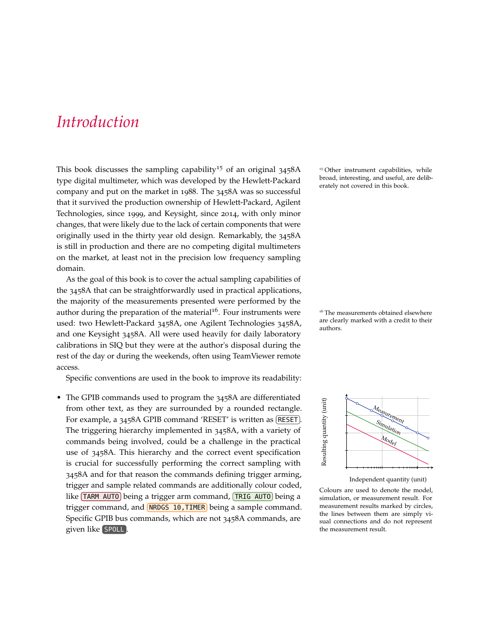#### *Introduction*

This book discusses the sampling capability<sup>15</sup> of an original  $3458A$ <sup>15</sup> Other instrument capabilities, while type digital multimeter, which was developed by the Hewlett-Packard company and put on the market in 1988. The 3458A was so successful that it survived the production ownership of Hewlett-Packard, Agilent Technologies, since 1999, and Keysight, since 2014, with only minor changes, that were likely due to the lack of certain components that were originally used in the thirty year old design. Remarkably, the 3458A is still in production and there are no competing digital multimeters on the market, at least not in the precision low frequency sampling domain.

As the goal of this book is to cover the actual sampling capabilities of the 3458A that can be straightforwardly used in practical applications, the majority of the measurements presented were performed by the author during the preparation of the material<sup>16</sup>. Four instruments were  $16$  The measurements obtained elsewhere used: two Hewlett-Packard 3458A, one Agilent Technologies 3458A, and one Keysight 3458A. All were used heavily for daily laboratory calibrations in SIQ but they were at the author's disposal during the rest of the day or during the weekends, often using TeamViewer remote access.

Specific conventions are used in the book to improve its readability:

• The GPIB commands used to program the 3458A are differentiated from other text, as they are surrounded by a rounded rectangle. For example, a 3458A GPIB command 'RESET' is written as [RESET]. The triggering hierarchy implemented in 3458A, with a variety of commands being involved, could be a challenge in the practical use of 3458A. This hierarchy and the correct event specification is crucial for successfully performing the correct sampling with 3458A and for that reason the commands defining trigger arming, trigger and sample related commands are additionally colour coded, like (TARM AUTO) being a trigger arm command, (TRIG AUTO) being a trigger command, and **NRDGS 10, TIMER** being a sample command. Specific GPIB bus commands, which are not 3458A commands, are given like SPOLL .

broad, interesting, and useful, are deliberately not covered in this book.

are clearly marked with a credit to their authors.



Independent quantity (unit)

Colours are used to denote the model, simulation, or measurement result. For measurement results marked by circles, the lines between them are simply visual connections and do not represent the measurement result.